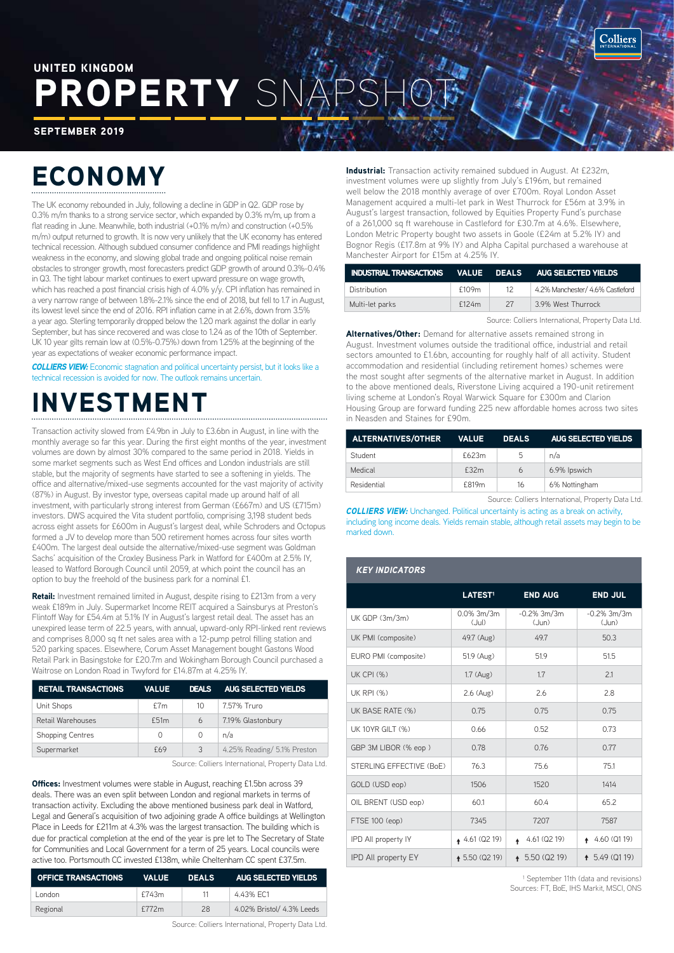### PROPERTY SN UNITED KINGDOM

SEPTEMBER 2019

# ECONOMY

The UK economy rebounded in July, following a decline in GDP in Q2. GDP rose by 0.3% m/m thanks to a strong service sector, which expanded by 0.3% m/m, up from a flat reading in June. Meanwhile, both industrial (+0.1% m/m) and construction (+0.5% m/m) output returned to growth. It is now very unlikely that the UK economy has entered technical recession. Although subdued consumer confidence and PMI readings highlight weakness in the economy, and slowing global trade and ongoing political noise remain obstacles to stronger growth, most forecasters predict GDP growth of around 0.3%-0.4% in Q3. The tight labour market continues to exert upward pressure on wage growth, which has reached a post financial crisis high of 4.0% y/y. CPI inflation has remained in a very narrow range of between 1.8%-2.1% since the end of 2018, but fell to 1.7 in August, its lowest level since the end of 2016. RPI inflation came in at 2.6%, down from 3.5% a year ago. Sterling temporarily dropped below the 1.20 mark against the dollar in early September, but has since recovered and was close to 1.24 as of the 10th of September. UK 10 year gilts remain low at (0.5%-0.75%) down from 1.25% at the beginning of the year as expectations of weaker economic performance impact.

*COLLIERS VIEW:* Economic stagnation and political uncertainty persist, but it looks like a technical recession is avoided for now. The outlook remains uncertain.

### INVESTMENT

Transaction activity slowed from £4.9bn in July to £3.6bn in August, in line with the monthly average so far this year. During the first eight months of the year, investment volumes are down by almost 30% compared to the same period in 2018. Yields in some market segments such as West End offices and London industrials are still stable, but the majority of segments have started to see a softening in yields. The office and alternative/mixed-use segments accounted for the vast majority of activity (87%) in August. By investor type, overseas capital made up around half of all investment, with particularly strong interest from German (£667m) and US (£715m) investors. DWS acquired the Vita student portfolio, comprising 3,198 student beds across eight assets for £600m in August's largest deal, while Schroders and Octopus formed a JV to develop more than 500 retirement homes across four sites worth £400m. The largest deal outside the alternative/mixed-use segment was Goldman Sachs' acquisition of the Croxley Business Park in Watford for £400m at 2.5% IY, leased to Watford Borough Council until 2059, at which point the council has an option to buy the freehold of the business park for a nominal £1.

Retail: Investment remained limited in August, despite rising to £213m from a very weak £189m in July. Supermarket Income REIT acquired a Sainsburys at Preston's Flintoff Way for £54.4m at 5.1% IY in August's largest retail deal. The asset has an unexpired lease term of 22.5 years, with annual, upward-only RPI-linked rent reviews and comprises 8,000 sq ft net sales area with a 12-pump petrol filling station and 520 parking spaces. Elsewhere, Corum Asset Management bought Gastons Wood Retail Park in Basingstoke for £20.7m and Wokingham Borough Council purchased a Waitrose on London Road in Twyford for £14.87m at 4.25% IY.

| <b>RETAIL TRANSACTIONS</b> | <b>VALUE</b> | <b>DEALS</b> | <b>AUG SELECTED YIELDS</b>  |
|----------------------------|--------------|--------------|-----------------------------|
| Unit Shops                 | f7m          | 10           | 7.57% Truro                 |
| Retail Warehouses          | £51m         | 6            | 7.19% Glastonbury           |
| <b>Shopping Centres</b>    | 0            | 0            | n/a                         |
| Supermarket                | £69          | 3            | 4.25% Reading/ 5.1% Preston |

Source: Colliers International, Property Data Ltd.

**Offices:** Investment volumes were stable in August, reaching £1.5bn across 39 deals. There was an even split between London and regional markets in terms of transaction activity. Excluding the above mentioned business park deal in Watford, Legal and General's acquisition of two adjoining grade A office buildings at Wellington Place in Leeds for £211m at 4.3% was the largest transaction. The building which is due for practical completion at the end of the year is pre let to The Secretary of State for Communities and Local Government for a term of 25 years. Local councils were active too. Portsmouth CC invested £138m, while Cheltenham CC spent £37.5m.

| <b>OFFICE TRANSACTIONS</b> | <b>VALUE</b> | DEALS | AUG SELECTED VIELDS       |
|----------------------------|--------------|-------|---------------------------|
| London                     | £743m        |       | 4.43% EC1                 |
| Regional                   | f772m        | 28    | 4.02% Bristol/ 4.3% Leeds |

Source: Colliers International, Property Data Ltd.

Industrial: Transaction activity remained subdued in August. At £232m, investment volumes were up slightly from July's £196m, but remained well below the 2018 monthly average of over £700m. Royal London Asset Management acquired a multi-let park in West Thurrock for £56m at 3.9% in August's largest transaction, followed by Equities Property Fund's purchase of a 261,000 sq ft warehouse in Castleford for £30.7m at 4.6%. Elsewhere, London Metric Property bought two assets in Goole (£24m at 5.2% IY) and Bognor Regis (£17.8m at 9% IY) and Alpha Capital purchased a warehouse at Manchester Airport for £15m at 4.25% IY.

| INDUSTRIAL TRANSACTIONS    VALUE    DEALS    AUG    SELECTED    YIELDS |       |    |                                  |
|------------------------------------------------------------------------|-------|----|----------------------------------|
| Distribution                                                           | f109m | 12 | 4.2% Manchester/ 4.6% Castleford |
| Multi-let parks                                                        | f124m | 27 | 3.9% West Thurrock               |

Source: Colliers International, Property Data Ltd.

Alternatives/Other: Demand for alternative assets remained strong in August. Investment volumes outside the traditional office, industrial and retail sectors amounted to £1.6bn, accounting for roughly half of all activity. Student accommodation and residential (including retirement homes) schemes were the most sought after segments of the alternative market in August. In addition to the above mentioned deals, Riverstone Living acquired a 190-unit retirement living scheme at London's Royal Warwick Square for £300m and Clarion Housing Group are forward funding 225 new affordable homes across two sites in Neasden and Staines for £90m.

| <b>ALTERNATIVES/OTHER</b> | <b>VALUE</b> | <b>DEALS</b> | <b>AUG SELECTED YIELDS</b> |
|---------------------------|--------------|--------------|----------------------------|
| Student                   | £623m        | 5            | n/a                        |
| Medical                   | £32m         | 6            | 6.9% Ipswich               |
| Residential               | £819m        | 16           | 6% Nottingham              |

Source: Colliers International, Property Data Ltd.

**COLLIERS VIEW:** Unchanged. Political uncertainty is acting as a break on activity, including long income deals. Yields remain stable, although retail assets may begin to be marked down.

#### *KEY INDICATORS*

|                            | LATEST <sup>1</sup>    | <b>END AUG</b>            | <b>END JUL</b>          |
|----------------------------|------------------------|---------------------------|-------------------------|
| UK GDP (3m/3m)             | $0.0\%$ 3m/3m<br>(Jul) | $-0.2\%$ 3m/3m<br>(Jun)   | $-0.2\%$ 3m/3m<br>(Jun) |
| UK PMI (composite)         | 49.7 (Aug)             | 49.7                      | 50.3                    |
| EURO PMI (composite)       | 51.9 (Aug)             | 51.9                      | 51.5                    |
| <b>UK CPI (%)</b>          | 1.7 (Aug)              | 1.7                       | 2.1                     |
| <b>UK RPI (%)</b>          | 2.6 (Aug)              | 2.6                       | 2.8                     |
| UK BASE RATE (%)           | 0.75                   | 0.75                      | 0.75                    |
| UK 10YR GILT (%)           | 0.66                   | 0.52                      | 0.73                    |
| GBP 3M LIBOR (% eop)       | 0.78                   | 0.76                      | 0.77                    |
| STERLING EFFECTIVE (BoE)   | 76.3                   | 75.6                      | 75.1                    |
| GOLD (USD eop)             | 1506                   | 1520                      | 1414                    |
| OIL BRENT (USD eop)        | 60.1                   | 60.4                      | 65.2                    |
| FTSE 100 (eop)             | 7345                   | 7207                      | 7587                    |
| IPD All property IY        | $4.61$ (Q2 19)         | 4.61 (Q2 19)<br>$\bullet$ | 4.60 (Q1 19)            |
| <b>IPD All property EY</b> | $+5.50$ (Q2 19)        | + 5.50 (Q2 19)            | 15.49(0119)             |

1 September 11th (data and revisions) Sources: FT, BoE, IHS Markit, MSCI, ONS